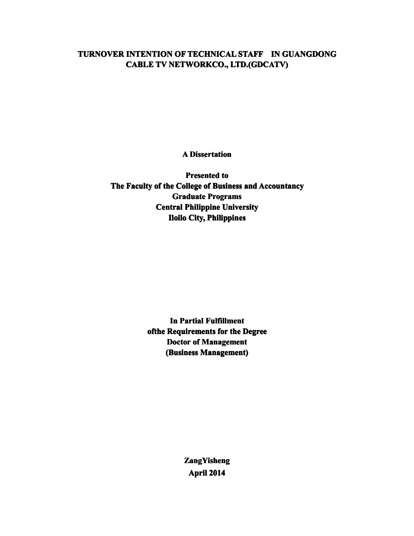## **TURNOVER INTENTION OF TECHNICAL STAFF IN GUANGDONG CABLE TV NETWORKCO., NETWORKCO., NETWORKCO.,LTD.(GDC LTD.(GDCATV)**

**A Dissertation**

**Presented to** The Faculty of the College of Business and Accountancy **Graduate Programs Central Philippine University Iloilo City**, **Philippines** 

> **In** Partial Fulfillment **ofthe Requirement Requirement Requirements for the Degree Doctor** of **Management (Business Management)**

> > **ZangYisheng ZangYisheng April 2014**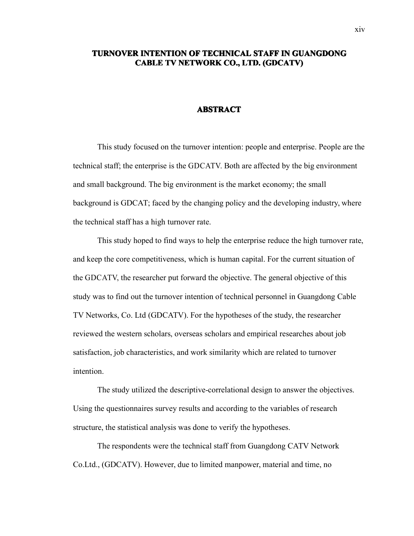## **TURNOVER TURNOVERINTENTION OF TECHNICAL TECHNICALTECHNICALSTAFF IN GUANGDONG GUANGDONG CABLE TV NETWORK NETWORKCO., LTD. (GDCATV)**

## **ABSTRACT**

This study focused on the turnover intention: people and enterprise. People are the technical staff; the enterprise is the GDCATV. Both are affected by the big environment and small background. The big environment is the market economy; the small background is GDCAT; faced by the changing policy and the developing industry, where the technical staff has <sup>a</sup> high turnover rate.

This study hoped to find ways to help the enterprise reduce the high turnover rate, and keep the core competitiveness, which is human capital. For the current situation of the GDCATV, the researcher pu<sup>t</sup> forward the objective. The general objective of this study was to find out the turnover intention of technical personnel in Guangdong Cable TV Networks, Co. Ltd (GDCATV). For the hypotheses of the study, the researcher reviewed the western scholars, overseas scholars and empirical researches about job satisfaction, job characteristics, and work similarity which are related to turnover intention.

The study utilized the descriptive-correlational design to answer the objectives. Using the questionnaires survey results and according to the variables of research structure, the statistical analysis was done to verify the hypotheses.

The respondents were the technical staff from Guangdong CATV Network Co.Ltd., (GDCATV). However, due to limited manpower, material and time, no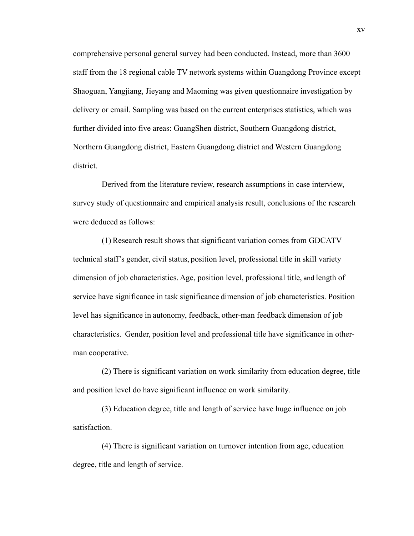comprehensive personal general survey had been conducted. Instead, more than 3600 staff from the 18 regional cable TV network systems within Guangdong Province excep<sup>t</sup> Shaoguan, Yangjiang, Jieyang and Maoming was given questionnaire investigation by delivery or email. Sampling was based on the current enterprises statistics, which was further divided into five areas: GuangShen district, Southern Guangdong district, Northern Guangdong district, Eastern Guangdong district and Western Guangdong district.

Derived from the literature review, research assumptions in case interview, survey study of questionnaire and empirical analysis result, conclusions of the research were deduced as follows:

(1) Research result shows that significant variation comes from GDCATV technical staff's gender, civil status, position level, professional title in skill variety dimension of job characteristics. Age, position level, professional title, and length of service have significance in task significance dimension of job characteristics. Position level has significance in autonomy, feedback, other-man feedback dimension of job characteristics. Gender, position level and professional title have significance in otherman cooperative.

(2) There is significant variation on work similarity from education degree, title and position level do have significant influence on work similarity.

(3) Education degree, title and length of service have huge influence on job satisfaction.

(4) There is significant variation on turnover intention from age, education degree, title and length of service.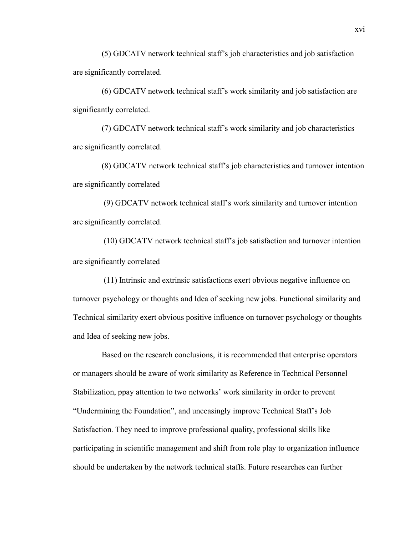(5) GDCATV network technical staff's job characteristics and job satisfaction are significantly correlated.

(6) GDCATV network technical staff's work similarity and job satisfaction are significantly correlated.

(7) GDCATV network technical staff's work similarity and job characteristics are significantly correlated.

(8) GDCATV network technical staff's job characteristics and turnover intention are significantly correlated

(9) GDCATV network technical staff's work similarity and turnover intention are significantly correlated.

(10) GDCATV network technical staff's job satisfaction and turnover intention are significantly correlated

(11) Intrinsic and extrinsic satisfactions exert obvious negative influence on turnover psychology or thoughts and Idea of seeking new jobs. Functional similarity and Technical similarity exert obvious positive influence on turnover psychology or thoughts and Idea of seeking new jobs.

Based on the research conclusions, it is recommended that enterprise operators or managers should be aware of work similarity as Reference in Technical Personnel Stabilization, ppay attention to two networks' work similarity in order toprevent "Undermining the Foundation", and unceasingly improve Technical Staff's Job Satisfaction. They need to improve professional quality, professional skills like participating in scientific managemen<sup>t</sup> and shift from role play to organization influence should be undertaken by the network technical staffs. Future researches can further